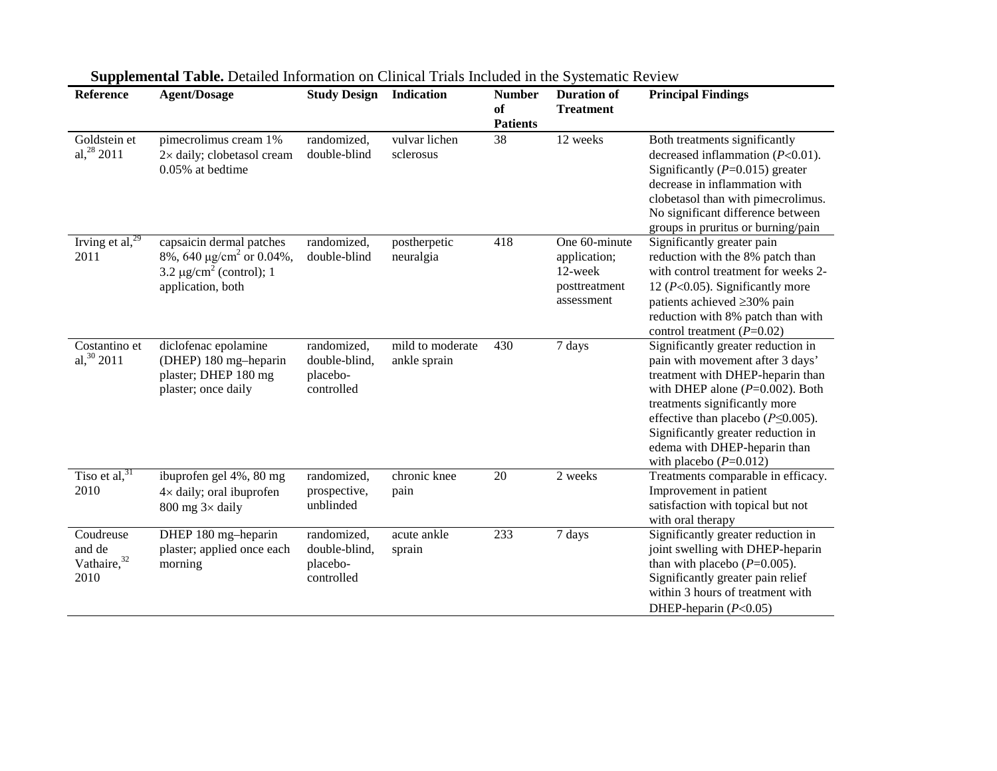| Reference                                              | рарренения тарис решнее нногичают он ститет ттак негасса нг аге в увелище тестем<br><b>Agent/Dosage</b>                                | <b>Study Design Indication</b>                         |                                  | <b>Number</b><br>of<br><b>Patients</b> | <b>Duration of</b><br><b>Treatment</b>                                  | <b>Principal Findings</b>                                                                                                                                                                                                                                                                                                        |
|--------------------------------------------------------|----------------------------------------------------------------------------------------------------------------------------------------|--------------------------------------------------------|----------------------------------|----------------------------------------|-------------------------------------------------------------------------|----------------------------------------------------------------------------------------------------------------------------------------------------------------------------------------------------------------------------------------------------------------------------------------------------------------------------------|
| Goldstein et<br>al, $28$ 2011                          | pimecrolimus cream 1%<br>2× daily; clobetasol cream<br>$0.05%$ at bedtime                                                              | randomized,<br>double-blind                            | vulvar lichen<br>sclerosus       | 38                                     | 12 weeks                                                                | Both treatments significantly<br>decreased inflammation $(P<0.01)$ .<br>Significantly ( $P=0.015$ ) greater<br>decrease in inflammation with<br>clobetasol than with pimecrolimus.<br>No significant difference between<br>groups in pruritus or burning/pain                                                                    |
| Irving et al, $^{29}$<br>2011                          | capsaicin dermal patches<br>8%, 640 $\mu$ g/cm <sup>2</sup> or 0.04%,<br>3.2 $\mu$ g/cm <sup>2</sup> (control); 1<br>application, both | randomized,<br>double-blind                            | postherpetic<br>neuralgia        | 418                                    | One 60-minute<br>application;<br>12-week<br>posttreatment<br>assessment | Significantly greater pain<br>reduction with the 8% patch than<br>with control treatment for weeks 2-<br>12 ( $P<0.05$ ). Significantly more<br>patients achieved ≥30% pain<br>reduction with 8% patch than with<br>control treatment $(P=0.02)$                                                                                 |
| Costantino et<br>al, 30 2011                           | diclofenac epolamine<br>(DHEP) 180 mg-heparin<br>plaster; DHEP 180 mg<br>plaster; once daily                                           | randomized,<br>double-blind,<br>placebo-<br>controlled | mild to moderate<br>ankle sprain | 430                                    | 7 days                                                                  | Significantly greater reduction in<br>pain with movement after 3 days'<br>treatment with DHEP-heparin than<br>with DHEP alone $(P=0.002)$ . Both<br>treatments significantly more<br>effective than placebo ( $P \le 0.005$ ).<br>Significantly greater reduction in<br>edema with DHEP-heparin than<br>with placebo $(P=0.012)$ |
| Tiso et al, $31$<br>2010                               | ibuprofen gel 4%, 80 mg<br>$4 \times$ daily; oral ibuprofen<br>$800$ mg $3\times$ daily                                                | randomized,<br>prospective,<br>unblinded               | chronic knee<br>pain             | $20\,$                                 | 2 weeks                                                                 | Treatments comparable in efficacy.<br>Improvement in patient<br>satisfaction with topical but not<br>with oral therapy                                                                                                                                                                                                           |
| Coudreuse<br>and de<br>Vathaire, <sup>32</sup><br>2010 | DHEP 180 mg-heparin<br>plaster; applied once each<br>morning                                                                           | randomized,<br>double-blind,<br>placebo-<br>controlled | acute ankle<br>sprain            | 233                                    | 7 days                                                                  | Significantly greater reduction in<br>joint swelling with DHEP-heparin<br>than with placebo $(P=0.005)$ .<br>Significantly greater pain relief<br>within 3 hours of treatment with<br>DHEP-heparin $(P<0.05)$                                                                                                                    |

**Supplemental Table.** Detailed Information on Clinical Trials Included in the Systematic Review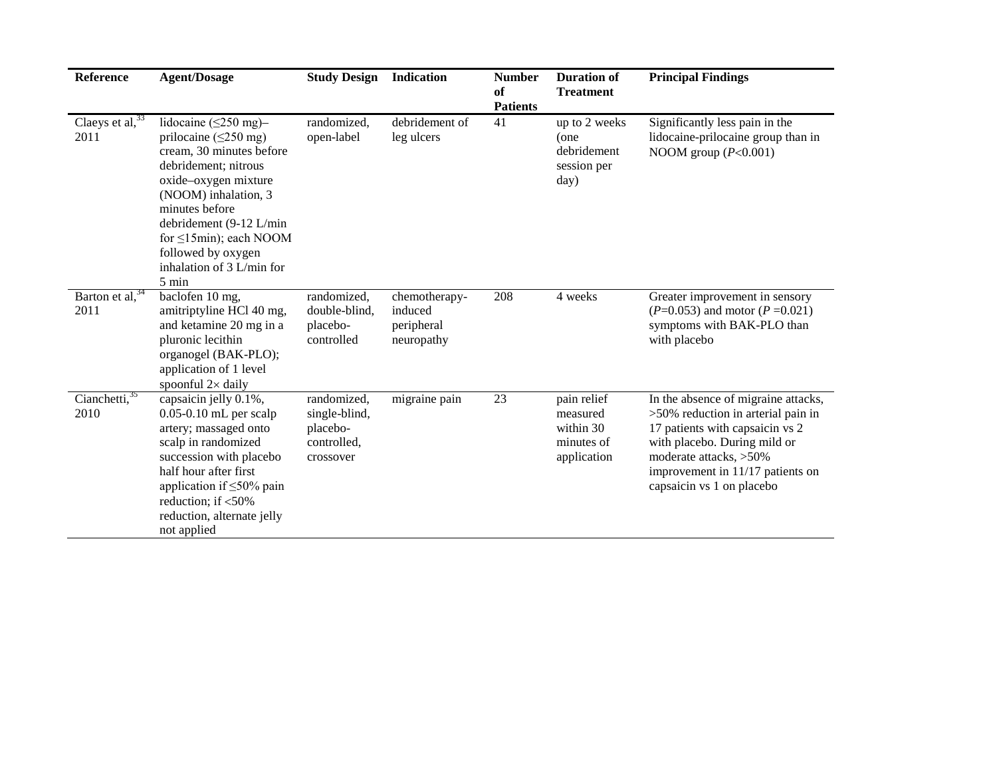| Reference                                           | <b>Agent/Dosage</b>                                                                                                                                                                                                                                                                                                          | <b>Study Design</b>                                                  | Indication                                           | <b>Number</b><br>of<br><b>Patients</b> | <b>Duration of</b><br><b>Treatment</b>                            | <b>Principal Findings</b>                                                                                                                                                                                                                  |
|-----------------------------------------------------|------------------------------------------------------------------------------------------------------------------------------------------------------------------------------------------------------------------------------------------------------------------------------------------------------------------------------|----------------------------------------------------------------------|------------------------------------------------------|----------------------------------------|-------------------------------------------------------------------|--------------------------------------------------------------------------------------------------------------------------------------------------------------------------------------------------------------------------------------------|
| Claeys et $\overline{al}$ , $\overline{33}$<br>2011 | lidocaine $(\leq 250 \text{ mg})$ -<br>prilocaine ( $\leq$ 250 mg)<br>cream, 30 minutes before<br>debridement; nitrous<br>oxide-oxygen mixture<br>(NOOM) inhalation, 3<br>minutes before<br>debridement (9-12 L/min<br>for $\leq 15$ min); each NOOM<br>followed by oxygen<br>inhalation of $3$ L/min for<br>$5 \text{ min}$ | randomized.<br>open-label                                            | debridement of<br>leg ulcers                         | 41                                     | up to 2 weeks<br>(one<br>debridement<br>session per<br>day)       | Significantly less pain in the<br>lidocaine-prilocaine group than in<br>NOOM group $(P<0.001)$                                                                                                                                             |
| Barton et al, $34$<br>2011                          | baclofen 10 mg,<br>amitriptyline HCl 40 mg,<br>and ketamine 20 mg in a<br>pluronic lecithin<br>organogel (BAK-PLO);<br>application of 1 level<br>spoonful $2 \times$ daily                                                                                                                                                   | randomized,<br>double-blind,<br>placebo-<br>controlled               | chemotherapy-<br>induced<br>peripheral<br>neuropathy | 208                                    | 4 weeks                                                           | Greater improvement in sensory<br>$(P=0.053)$ and motor $(P=0.021)$<br>symptoms with BAK-PLO than<br>with placebo                                                                                                                          |
| Cianchetti, 35<br>2010                              | capsaicin jelly 0.1%,<br>$0.05-0.10$ mL per scalp<br>artery; massaged onto<br>scalp in randomized<br>succession with placebo<br>half hour after first<br>application if $\leq 50\%$ pain<br>reduction; if $<$ 50%<br>reduction, alternate jelly<br>not applied                                                               | randomized,<br>single-blind,<br>placebo-<br>controlled,<br>crossover | migraine pain                                        | 23                                     | pain relief<br>measured<br>within 30<br>minutes of<br>application | In the absence of migraine attacks,<br>$>50\%$ reduction in arterial pain in<br>17 patients with capsaicin vs 2<br>with placebo. During mild or<br>moderate attacks, >50%<br>improvement in 11/17 patients on<br>capsaicin vs 1 on placebo |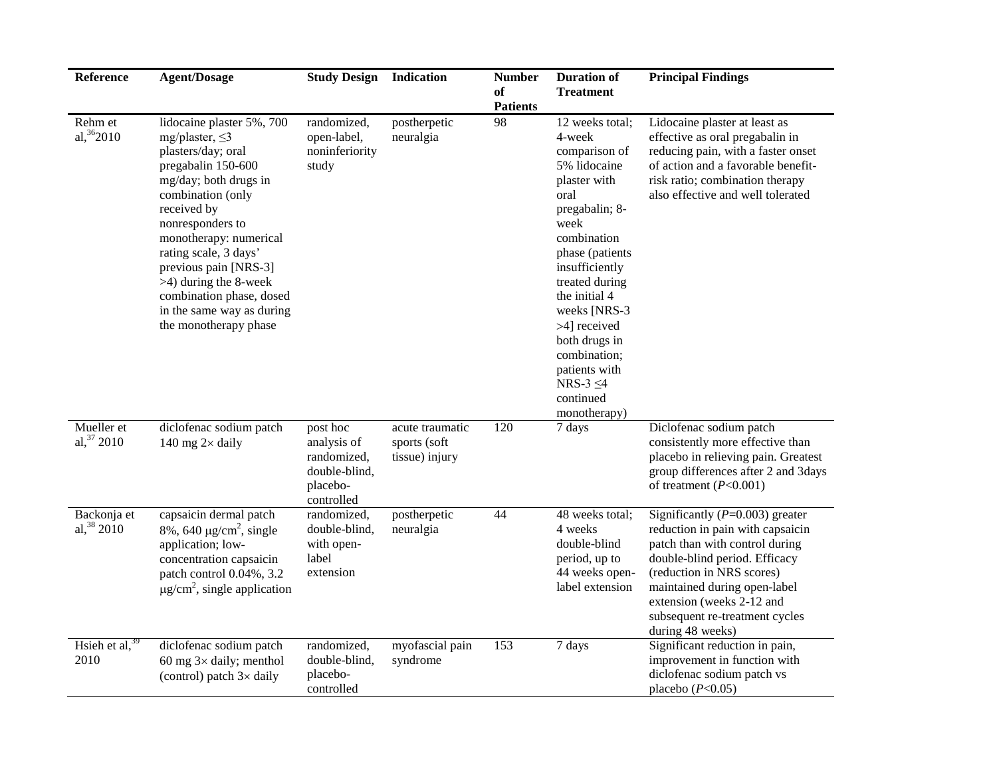| Reference                                        | <b>Agent/Dosage</b>                                                                                                                                                                                                                                                                                                                                                      | <b>Study Design</b>                                                               | Indication                                        | <b>Number</b><br>of<br><b>Patients</b> | <b>Duration of</b><br><b>Treatment</b>                                                                                                                                                                                                                                                                                               | <b>Principal Findings</b>                                                                                                                                                                                                                                                                |
|--------------------------------------------------|--------------------------------------------------------------------------------------------------------------------------------------------------------------------------------------------------------------------------------------------------------------------------------------------------------------------------------------------------------------------------|-----------------------------------------------------------------------------------|---------------------------------------------------|----------------------------------------|--------------------------------------------------------------------------------------------------------------------------------------------------------------------------------------------------------------------------------------------------------------------------------------------------------------------------------------|------------------------------------------------------------------------------------------------------------------------------------------------------------------------------------------------------------------------------------------------------------------------------------------|
| Rehm et<br>al, $36$ <sub>2010</sub>              | lidocaine plaster 5%, 700<br>mg/plaster, $\leq$ 3<br>plasters/day; oral<br>pregabalin 150-600<br>mg/day; both drugs in<br>combination (only<br>received by<br>nonresponders to<br>monotherapy: numerical<br>rating scale, 3 days'<br>previous pain [NRS-3]<br>$>4$ ) during the 8-week<br>combination phase, dosed<br>in the same way as during<br>the monotherapy phase | randomized,<br>open-label,<br>noninferiority<br>study                             | postherpetic<br>neuralgia                         | 98                                     | 12 weeks total;<br>4-week<br>comparison of<br>5% lidocaine<br>plaster with<br>oral<br>pregabalin; 8-<br>week<br>combination<br>phase (patients<br>insufficiently<br>treated during<br>the initial 4<br>weeks [NRS-3<br>>4] received<br>both drugs in<br>combination;<br>patients with<br>NRS-3 $\leq$ 4<br>continued<br>monotherapy) | Lidocaine plaster at least as<br>effective as oral pregabalin in<br>reducing pain, with a faster onset<br>of action and a favorable benefit-<br>risk ratio; combination therapy<br>also effective and well tolerated                                                                     |
| $\overline{\text{M}}$ ueller et<br>al, $37,2010$ | diclofenac sodium patch<br>140 mg $2\times$ daily                                                                                                                                                                                                                                                                                                                        | post hoc<br>analysis of<br>randomized,<br>double-blind,<br>placebo-<br>controlled | acute traumatic<br>sports (soft<br>tissue) injury | 120                                    | 7 days                                                                                                                                                                                                                                                                                                                               | Diclofenac sodium patch<br>consistently more effective than<br>placebo in relieving pain. Greatest<br>group differences after 2 and 3days<br>of treatment $(P<0.001)$                                                                                                                    |
| Backonja et<br>al, $38\ 2010$                    | capsaicin dermal patch<br>$8\%$ , 640 µg/cm <sup>2</sup> , single<br>application; low-<br>concentration capsaicin<br>patch control 0.04%, 3.2<br>$\mu$ g/cm <sup>2</sup> , single application                                                                                                                                                                            | randomized,<br>double-blind,<br>with open-<br>label<br>extension                  | postherpetic<br>neuralgia                         | 44                                     | 48 weeks total;<br>4 weeks<br>double-blind<br>period, up to<br>44 weeks open-<br>label extension                                                                                                                                                                                                                                     | Significantly $(P=0.003)$ greater<br>reduction in pain with capsaicin<br>patch than with control during<br>double-blind period. Efficacy<br>(reduction in NRS scores)<br>maintained during open-label<br>extension (weeks 2-12 and<br>subsequent re-treatment cycles<br>during 48 weeks) |
| Hsieh et al, $39$<br>2010                        | diclofenac sodium patch<br>60 mg $3\times$ daily; menthol<br>(control) patch $3\times$ daily                                                                                                                                                                                                                                                                             | randomized,<br>double-blind,<br>placebo-<br>controlled                            | myofascial pain<br>syndrome                       | 153                                    | 7 days                                                                                                                                                                                                                                                                                                                               | Significant reduction in pain,<br>improvement in function with<br>diclofenac sodium patch vs<br>placebo $(P<0.05)$                                                                                                                                                                       |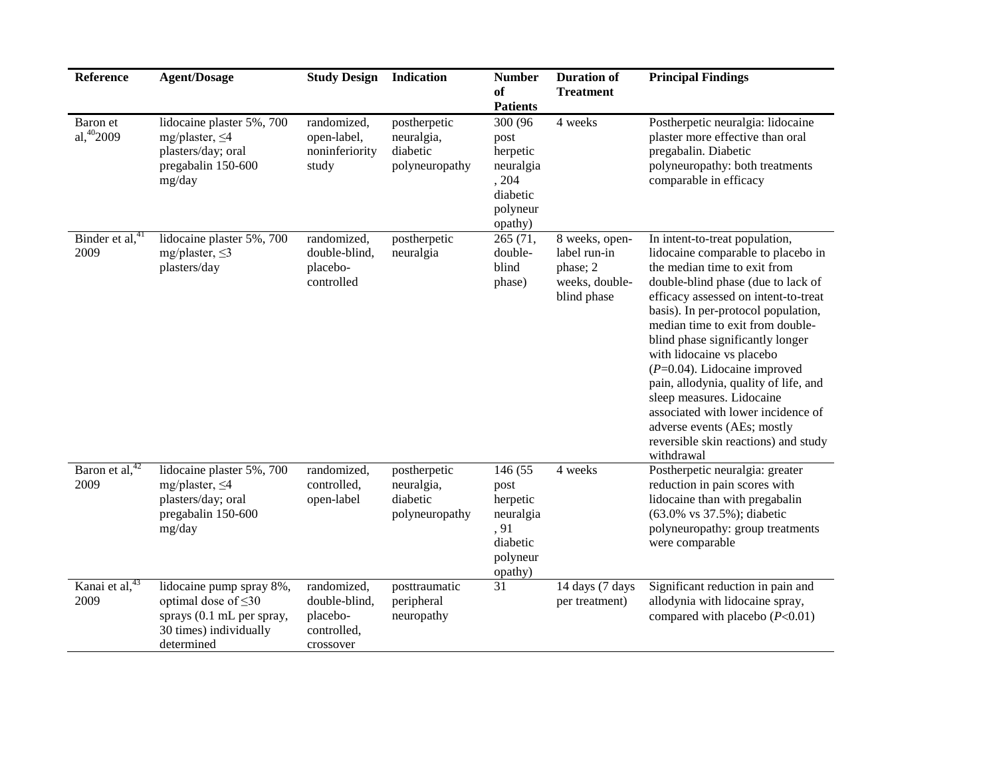| Reference                           | <b>Agent/Dosage</b>                                                                                                        | <b>Study Design</b>                                                  | Indication                                               | <b>Number</b><br>of<br><b>Patients</b>                                               | <b>Duration of</b><br><b>Treatment</b>                                      | <b>Principal Findings</b>                                                                                                                                                                                                                                                                                                                                                                                                                                                                                                                                          |
|-------------------------------------|----------------------------------------------------------------------------------------------------------------------------|----------------------------------------------------------------------|----------------------------------------------------------|--------------------------------------------------------------------------------------|-----------------------------------------------------------------------------|--------------------------------------------------------------------------------------------------------------------------------------------------------------------------------------------------------------------------------------------------------------------------------------------------------------------------------------------------------------------------------------------------------------------------------------------------------------------------------------------------------------------------------------------------------------------|
| Baron et<br>al, $40,2009$           | lidocaine plaster 5%, 700<br>mg/plaster, $\leq 4$<br>plasters/day; oral<br>pregabalin 150-600<br>mg/day                    | randomized,<br>open-label,<br>noninferiority<br>study                | postherpetic<br>neuralgia,<br>diabetic<br>polyneuropathy | 300 (96<br>post<br>herpetic<br>neuralgia<br>, 204<br>diabetic<br>polyneur<br>opathy) | 4 weeks                                                                     | Postherpetic neuralgia: lidocaine<br>plaster more effective than oral<br>pregabalin. Diabetic<br>polyneuropathy: both treatments<br>comparable in efficacy                                                                                                                                                                                                                                                                                                                                                                                                         |
| Binder et al, <sup>41</sup><br>2009 | lidocaine plaster 5%, 700<br>mg/plaster, $\leq$ 3<br>plasters/day                                                          | randomized,<br>double-blind,<br>placebo-<br>controlled               | postherpetic<br>neuralgia                                | 265 (71,<br>double-<br>blind<br>phase)                                               | 8 weeks, open-<br>label run-in<br>phase; 2<br>weeks, double-<br>blind phase | In intent-to-treat population,<br>lidocaine comparable to placebo in<br>the median time to exit from<br>double-blind phase (due to lack of<br>efficacy assessed on intent-to-treat<br>basis). In per-protocol population,<br>median time to exit from double-<br>blind phase significantly longer<br>with lidocaine vs placebo<br>$(P=0.04)$ . Lidocaine improved<br>pain, allodynia, quality of life, and<br>sleep measures. Lidocaine<br>associated with lower incidence of<br>adverse events (AEs; mostly<br>reversible skin reactions) and study<br>withdrawal |
| Baron et al, <sup>42</sup><br>2009  | lidocaine plaster 5%, 700<br>mg/plaster, $\leq 4$<br>plasters/day; oral<br>pregabalin 150-600<br>mg/day                    | randomized,<br>controlled,<br>open-label                             | postherpetic<br>neuralgia,<br>diabetic<br>polyneuropathy | 146 (55<br>post<br>herpetic<br>neuralgia<br>, 91<br>diabetic<br>polyneur<br>opathy)  | 4 weeks                                                                     | Postherpetic neuralgia: greater<br>reduction in pain scores with<br>lidocaine than with pregabalin<br>(63.0% vs 37.5%); diabetic<br>polyneuropathy: group treatments<br>were comparable                                                                                                                                                                                                                                                                                                                                                                            |
| Kanai et al, <sup>43</sup><br>2009  | lidocaine pump spray 8%,<br>optimal dose of $\leq 30$<br>sprays (0.1 mL per spray,<br>30 times) individually<br>determined | randomized,<br>double-blind,<br>placebo-<br>controlled,<br>crossover | posttraumatic<br>peripheral<br>neuropathy                | 31                                                                                   | 14 days (7 days<br>per treatment)                                           | Significant reduction in pain and<br>allodynia with lidocaine spray,<br>compared with placebo $(P<0.01)$                                                                                                                                                                                                                                                                                                                                                                                                                                                           |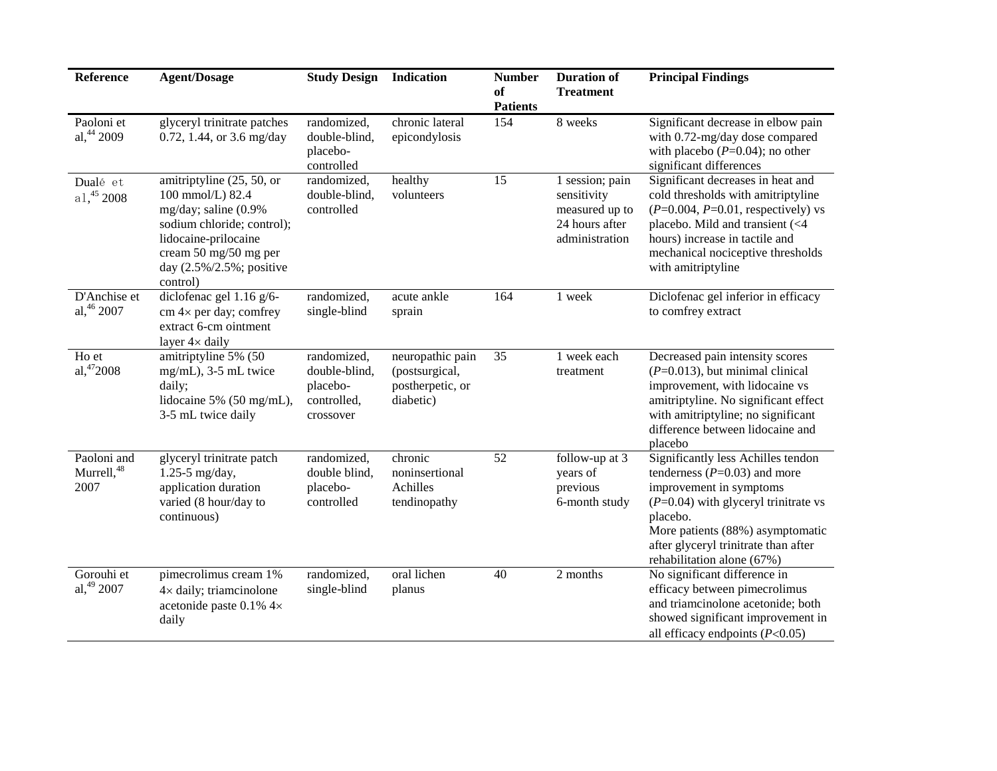| Reference                          | <b>Agent/Dosage</b>                                                                                                                                                                          | <b>Study Design</b>                                                  | Indication                                                          | <b>Number</b><br>оf<br><b>Patients</b> | <b>Duration of</b><br><b>Treatment</b>                                               | <b>Principal Findings</b>                                                                                                                                                                                                                                         |
|------------------------------------|----------------------------------------------------------------------------------------------------------------------------------------------------------------------------------------------|----------------------------------------------------------------------|---------------------------------------------------------------------|----------------------------------------|--------------------------------------------------------------------------------------|-------------------------------------------------------------------------------------------------------------------------------------------------------------------------------------------------------------------------------------------------------------------|
| Paoloni et<br>al, 44 2009          | glyceryl trinitrate patches<br>0.72, 1.44, or 3.6 mg/day                                                                                                                                     | randomized,<br>double-blind,<br>placebo-<br>controlled               | chronic lateral<br>epicondylosis                                    | 154                                    | 8 weeks                                                                              | Significant decrease in elbow pain<br>with 0.72-mg/day dose compared<br>with placebo $(P=0.04)$ ; no other<br>significant differences                                                                                                                             |
| Dualé et<br>$a1, 45$ 2008          | amitriptyline (25, 50, or<br>100 mmol/L) 82.4<br>mg/day; saline (0.9%<br>sodium chloride; control);<br>lidocaine-prilocaine<br>cream 50 mg/50 mg per<br>day (2.5%/2.5%; positive<br>control) | randomized,<br>double-blind,<br>controlled                           | healthy<br>volunteers                                               | $\overline{15}$                        | 1 session; pain<br>sensitivity<br>measured up to<br>24 hours after<br>administration | Significant decreases in heat and<br>cold thresholds with amitriptyline<br>$(P=0.004, P=0.01, respectively)$ vs<br>placebo. Mild and transient (<4<br>hours) increase in tactile and<br>mechanical nociceptive thresholds<br>with amitriptyline                   |
| D'Anchise et<br>al, 46 2007        | diclofenac gel 1.16 g/6-<br>$cm 4\times$ per day; comfrey<br>extract 6-cm ointment<br>layer $4 \times$ daily                                                                                 | randomized,<br>single-blind                                          | acute ankle<br>sprain                                               | 164                                    | 1 week                                                                               | Diclofenac gel inferior in efficacy<br>to comfrey extract                                                                                                                                                                                                         |
| Ho et<br>a1,472008                 | amitriptyline 5% (50<br>mg/mL), 3-5 mL twice<br>daily;<br>lidocaine 5% (50 mg/mL),<br>3-5 mL twice daily                                                                                     | randomized,<br>double-blind,<br>placebo-<br>controlled,<br>crossover | neuropathic pain<br>(postsurgical,<br>postherpetic, or<br>diabetic) | 35                                     | 1 week each<br>treatment                                                             | Decreased pain intensity scores<br>$(P=0.013)$ , but minimal clinical<br>improvement, with lidocaine vs<br>amitriptyline. No significant effect<br>with amitriptyline; no significant<br>difference between lidocaine and<br>placebo                              |
| Paoloni and<br>Murrell, 48<br>2007 | glyceryl trinitrate patch<br>$1.25 - 5$ mg/day,<br>application duration<br>varied (8 hour/day to<br>continuous)                                                                              | randomized,<br>double blind,<br>placebo-<br>controlled               | chronic<br>noninsertional<br>Achilles<br>tendinopathy               | 52                                     | follow-up at 3<br>years of<br>previous<br>6-month study                              | Significantly less Achilles tendon<br>tenderness ( $P=0.03$ ) and more<br>improvement in symptoms<br>$(P=0.04)$ with glyceryl trinitrate vs<br>placebo.<br>More patients (88%) asymptomatic<br>after glyceryl trinitrate than after<br>rehabilitation alone (67%) |
| Gorouhi et<br>al, 49 2007          | pimecrolimus cream 1%<br>$4\times$ daily; triamcinolone<br>acetonide paste 0.1% 4×<br>daily                                                                                                  | randomized,<br>single-blind                                          | oral lichen<br>planus                                               | 40                                     | 2 months                                                                             | No significant difference in<br>efficacy between pimecrolimus<br>and triamcinolone acetonide; both<br>showed significant improvement in<br>all efficacy endpoints $(P<0.05)$                                                                                      |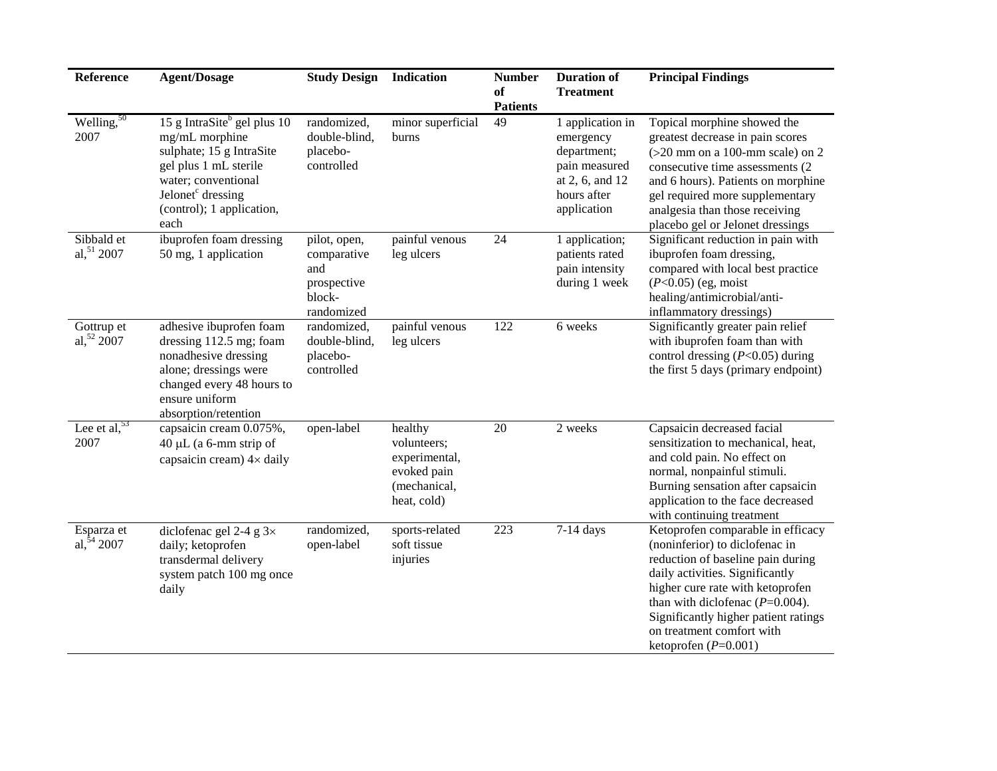| Reference                    | <b>Agent/Dosage</b>                                                                                                                                                                                         | <b>Study Design</b>                                                       | Indication                                                                            | <b>Number</b><br>of<br><b>Patients</b> | <b>Duration of</b><br><b>Treatment</b>                                                                         | <b>Principal Findings</b>                                                                                                                                                                                                                                                                                              |
|------------------------------|-------------------------------------------------------------------------------------------------------------------------------------------------------------------------------------------------------------|---------------------------------------------------------------------------|---------------------------------------------------------------------------------------|----------------------------------------|----------------------------------------------------------------------------------------------------------------|------------------------------------------------------------------------------------------------------------------------------------------------------------------------------------------------------------------------------------------------------------------------------------------------------------------------|
| Welling, $50$<br>2007        | 15 g IntraSite <sup>b</sup> gel plus 10<br>mg/mL morphine<br>sulphate; 15 g IntraSite<br>gel plus 1 mL sterile<br>water; conventional<br>Jelonet <sup>c</sup> dressing<br>(control); 1 application,<br>each | randomized,<br>double-blind,<br>placebo-<br>controlled                    | minor superficial<br>burns                                                            | 49                                     | 1 application in<br>emergency<br>department;<br>pain measured<br>at 2, 6, and 12<br>hours after<br>application | Topical morphine showed the<br>greatest decrease in pain scores<br>$(>20$ mm on a 100-mm scale) on 2<br>consecutive time assessments (2)<br>and 6 hours). Patients on morphine<br>gel required more supplementary<br>analgesia than those receiving<br>placebo gel or Jelonet dressings                                |
| Sibbald et<br>al, 51 2007    | ibuprofen foam dressing<br>50 mg, 1 application                                                                                                                                                             | pilot, open,<br>comparative<br>and<br>prospective<br>block-<br>randomized | painful venous<br>leg ulcers                                                          | 24                                     | 1 application;<br>patients rated<br>pain intensity<br>during 1 week                                            | Significant reduction in pain with<br>ibuprofen foam dressing,<br>compared with local best practice<br>$(P<0.05)$ (eg, moist<br>healing/antimicrobial/anti-<br>inflammatory dressings)                                                                                                                                 |
| Gottrup et<br>al, 52 2007    | adhesive ibuprofen foam<br>dressing 112.5 mg; foam<br>nonadhesive dressing<br>alone; dressings were<br>changed every 48 hours to<br>ensure uniform<br>absorption/retention                                  | randomized,<br>double-blind,<br>placebo-<br>controlled                    | painful venous<br>leg ulcers                                                          | 122                                    | 6 weeks                                                                                                        | Significantly greater pain relief<br>with ibuprofen foam than with<br>control dressing $(P<0.05)$ during<br>the first 5 days (primary endpoint)                                                                                                                                                                        |
| Lee et al, $53$<br>2007      | capsaicin cream 0.075%,<br>$40 \mu L$ (a 6-mm strip of<br>capsaicin cream) $4 \times$ daily                                                                                                                 | open-label                                                                | healthy<br>volunteers;<br>experimental,<br>evoked pain<br>(mechanical,<br>heat, cold) | $20\,$                                 | 2 weeks                                                                                                        | Capsaicin decreased facial<br>sensitization to mechanical, heat,<br>and cold pain. No effect on<br>normal, nonpainful stimuli.<br>Burning sensation after capsaicin<br>application to the face decreased<br>with continuing treatment                                                                                  |
| Esparza et<br>al, $54\,2007$ | diclofenac gel 2-4 g $3\times$<br>daily; ketoprofen<br>transdermal delivery<br>system patch 100 mg once<br>daily                                                                                            | randomized,<br>open-label                                                 | sports-related<br>soft tissue<br>injuries                                             | 223                                    | $7-14$ days                                                                                                    | Ketoprofen comparable in efficacy<br>(noninferior) to diclofenac in<br>reduction of baseline pain during<br>daily activities. Significantly<br>higher cure rate with ketoprofen<br>than with diclofenac $(P=0.004)$ .<br>Significantly higher patient ratings<br>on treatment comfort with<br>ketoprofen ( $P=0.001$ ) |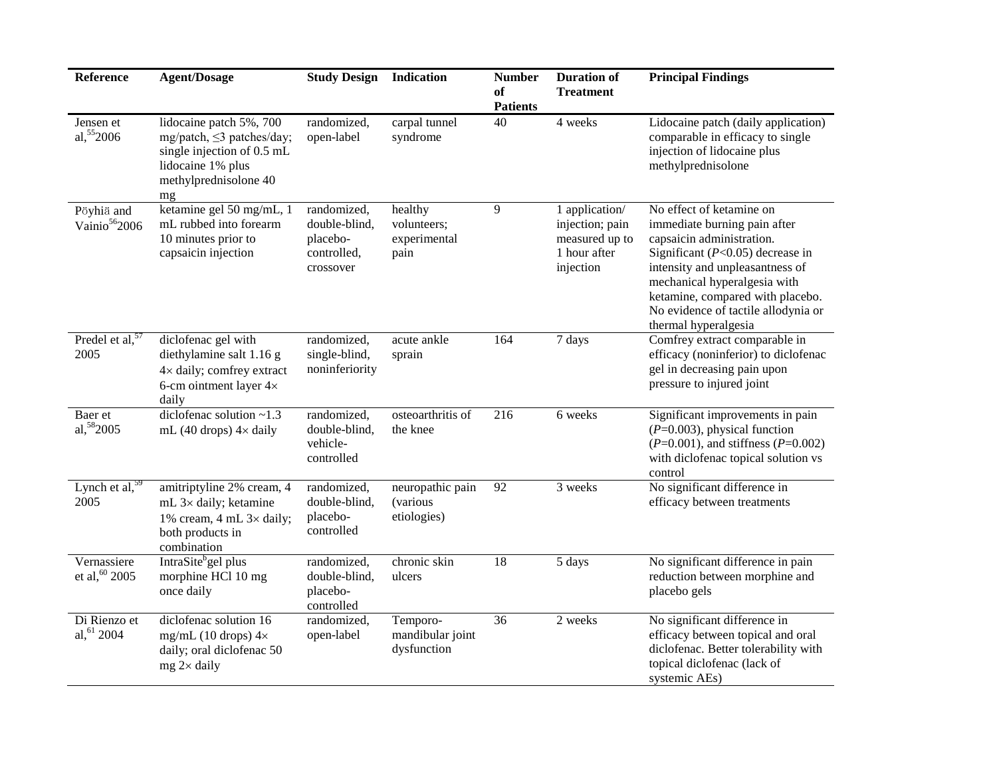| Reference                                | <b>Agent/Dosage</b>                                                                                                                              | <b>Study Design</b>                                                  | Indication                                     | <b>Number</b><br>оf<br><b>Patients</b> | <b>Duration of</b><br><b>Treatment</b>                                           | <b>Principal Findings</b>                                                                                                                                                                                                                                                                           |
|------------------------------------------|--------------------------------------------------------------------------------------------------------------------------------------------------|----------------------------------------------------------------------|------------------------------------------------|----------------------------------------|----------------------------------------------------------------------------------|-----------------------------------------------------------------------------------------------------------------------------------------------------------------------------------------------------------------------------------------------------------------------------------------------------|
| Jensen et<br>al, $552006$                | lidocaine patch $5\%$ , 700<br>mg/patch, $\leq$ 3 patches/day;<br>single injection of 0.5 mL<br>lidocaine 1% plus<br>methylprednisolone 40<br>mg | randomized,<br>open-label                                            | carpal tunnel<br>syndrome                      | 40                                     | 4 weeks                                                                          | Lidocaine patch (daily application)<br>comparable in efficacy to single<br>injection of lidocaine plus<br>methylprednisolone                                                                                                                                                                        |
| Pöyhiä and<br>Vainio <sup>56</sup> 2006  | ketamine gel 50 mg/mL, 1<br>mL rubbed into forearm<br>10 minutes prior to<br>capsaicin injection                                                 | randomized,<br>double-blind,<br>placebo-<br>controlled,<br>crossover | healthy<br>volunteers;<br>experimental<br>pain | 9                                      | 1 application/<br>injection; pain<br>measured up to<br>1 hour after<br>injection | No effect of ketamine on<br>immediate burning pain after<br>capsaicin administration.<br>Significant ( $P<0.05$ ) decrease in<br>intensity and unpleasantness of<br>mechanical hyperalgesia with<br>ketamine, compared with placebo.<br>No evidence of tactile allodynia or<br>thermal hyperalgesia |
| Predel et al, $\frac{57}{6}$<br>2005     | diclofenac gel with<br>diethylamine salt 1.16 g<br>4× daily; comfrey extract<br>6-cm ointment layer $4\times$<br>daily                           | randomized,<br>single-blind,<br>noninferiority                       | acute ankle<br>sprain                          | 164                                    | 7 days                                                                           | Comfrey extract comparable in<br>efficacy (noninferior) to diclofenac<br>gel in decreasing pain upon<br>pressure to injured joint                                                                                                                                                                   |
| Baer et<br>al, 582005                    | diclofenac solution $\sim$ 1.3<br>mL (40 drops) $4\times$ daily                                                                                  | randomized,<br>double-blind,<br>vehicle-<br>controlled               | osteoarthritis of<br>the knee                  | 216                                    | 6 weeks                                                                          | Significant improvements in pain<br>$(P=0.003)$ , physical function<br>$(P=0.001)$ , and stiffness $(P=0.002)$<br>with diclofenac topical solution vs<br>control                                                                                                                                    |
| Lynch et al, $\frac{59}{9}$<br>2005      | amitriptyline 2% cream, 4<br>mL $3\times$ daily; ketamine<br>1% cream, 4 mL $3 \times$ daily;<br>both products in<br>combination                 | randomized,<br>double-blind,<br>placebo-<br>controlled               | neuropathic pain<br>(various<br>etiologies)    | 92                                     | 3 weeks                                                                          | No significant difference in<br>efficacy between treatments                                                                                                                                                                                                                                         |
| Vernassiere<br>et al, <sup>60</sup> 2005 | IntraSite <sup>b</sup> gel plus<br>morphine HCl 10 mg<br>once daily                                                                              | randomized,<br>double-blind,<br>placebo-<br>controlled               | chronic skin<br>ulcers                         | $\overline{18}$                        | 5 days                                                                           | No significant difference in pain<br>reduction between morphine and<br>placebo gels                                                                                                                                                                                                                 |
| Di Rienzo et<br>al, $61$ 2004            | diclofenac solution 16<br>mg/mL (10 drops) $4\times$<br>daily; oral diclofenac 50<br>$mg$ 2 $\times$ daily                                       | randomized,<br>open-label                                            | Temporo-<br>mandibular joint<br>dysfunction    | 36                                     | 2 weeks                                                                          | No significant difference in<br>efficacy between topical and oral<br>diclofenac. Better tolerability with<br>topical diclofenac (lack of<br>systemic AEs)                                                                                                                                           |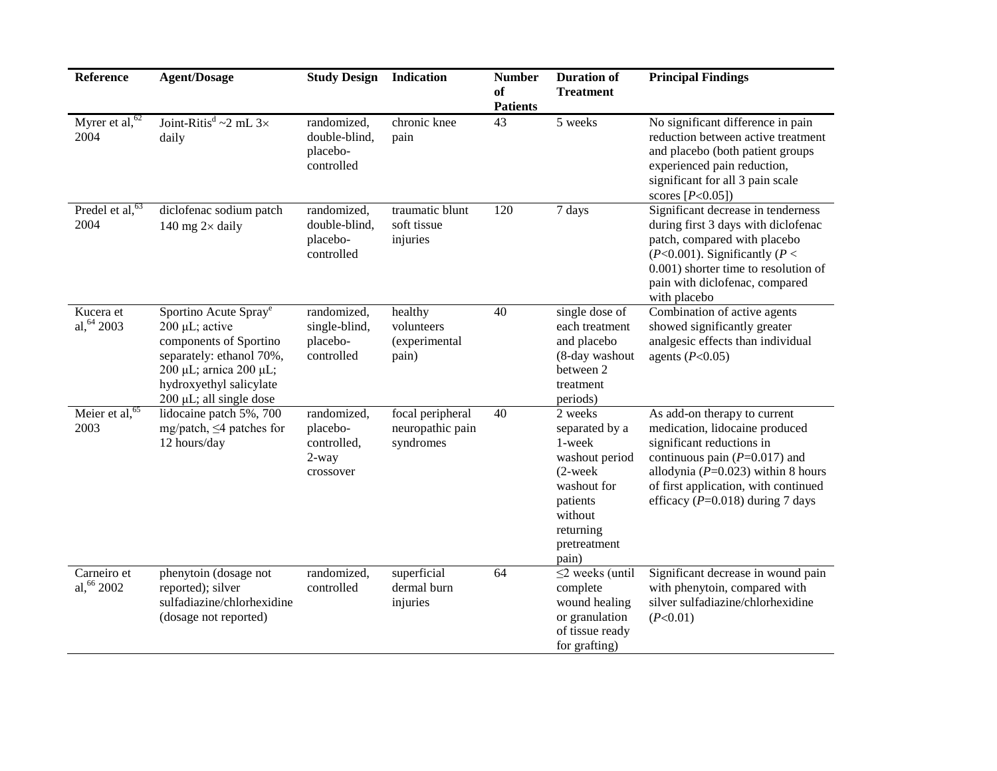| Reference                  | <b>Agent/Dosage</b>                                                                                                                                                                       | <b>Study Design</b>                                          | <b>Indication</b>                                 | <b>Number</b><br>of<br><b>Patients</b> | <b>Duration of</b><br><b>Treatment</b>                                                                                                          | <b>Principal Findings</b>                                                                                                                                                                                                                                  |
|----------------------------|-------------------------------------------------------------------------------------------------------------------------------------------------------------------------------------------|--------------------------------------------------------------|---------------------------------------------------|----------------------------------------|-------------------------------------------------------------------------------------------------------------------------------------------------|------------------------------------------------------------------------------------------------------------------------------------------------------------------------------------------------------------------------------------------------------------|
| Myrer et al, $62$<br>2004  | Joint-Ritis <sup>d</sup> ~2 mL $3\times$<br>daily                                                                                                                                         | randomized,<br>double-blind,<br>placebo-<br>controlled       | chronic knee<br>pain                              | 43                                     | 5 weeks                                                                                                                                         | No significant difference in pain<br>reduction between active treatment<br>and placebo (both patient groups<br>experienced pain reduction,<br>significant for all 3 pain scale<br>scores $[P<0.05]$                                                        |
| Predel et al, $63$<br>2004 | diclofenac sodium patch<br>140 mg $2\times$ daily                                                                                                                                         | randomized,<br>double-blind,<br>placebo-<br>controlled       | traumatic blunt<br>soft tissue<br>injuries        | 120                                    | 7 days                                                                                                                                          | Significant decrease in tenderness<br>during first 3 days with diclofenac<br>patch, compared with placebo<br>( $P<0.001$ ). Significantly ( $P<$<br>0.001) shorter time to resolution of<br>pain with diclofenac, compared<br>with placebo                 |
| Kucera et<br>al, 64 2003   | Sportino Acute Spray <sup>e</sup><br>200 µL; active<br>components of Sportino<br>separately: ethanol 70%,<br>200 μL; arnica 200 μL;<br>hydroxyethyl salicylate<br>200 µL; all single dose | randomized,<br>single-blind,<br>placebo-<br>controlled       | healthy<br>volunteers<br>(experimental<br>pain)   | 40                                     | single dose of<br>each treatment<br>and placebo<br>(8-day washout<br>between 2<br>treatment<br>periods)                                         | Combination of active agents<br>showed significantly greater<br>analgesic effects than individual<br>agents $(P<0.05)$                                                                                                                                     |
| Meier et al, $65$<br>2003  | lidocaine patch 5%, 700<br>mg/patch, ≤4 patches for<br>12 hours/day                                                                                                                       | randomized,<br>placebo-<br>controlled,<br>2-way<br>crossover | focal peripheral<br>neuropathic pain<br>syndromes | 40                                     | 2 weeks<br>separated by a<br>1-week<br>washout period<br>$(2$ -week<br>washout for<br>patients<br>without<br>returning<br>pretreatment<br>pain) | As add-on therapy to current<br>medication, lidocaine produced<br>significant reductions in<br>continuous pain ( $P=0.017$ ) and<br>allodynia ( $P=0.023$ ) within 8 hours<br>of first application, with continued<br>efficacy ( $P=0.018$ ) during 7 days |
| Carneiro et<br>al, 66 2002 | phenytoin (dosage not<br>reported); silver<br>sulfadiazine/chlorhexidine<br>(dosage not reported)                                                                                         | randomized,<br>controlled                                    | superficial<br>dermal burn<br>injuries            | 64                                     | $\leq$ 2 weeks (until<br>complete<br>wound healing<br>or granulation<br>of tissue ready<br>for grafting)                                        | Significant decrease in wound pain<br>with phenytoin, compared with<br>silver sulfadiazine/chlorhexidine<br>(P<0.01)                                                                                                                                       |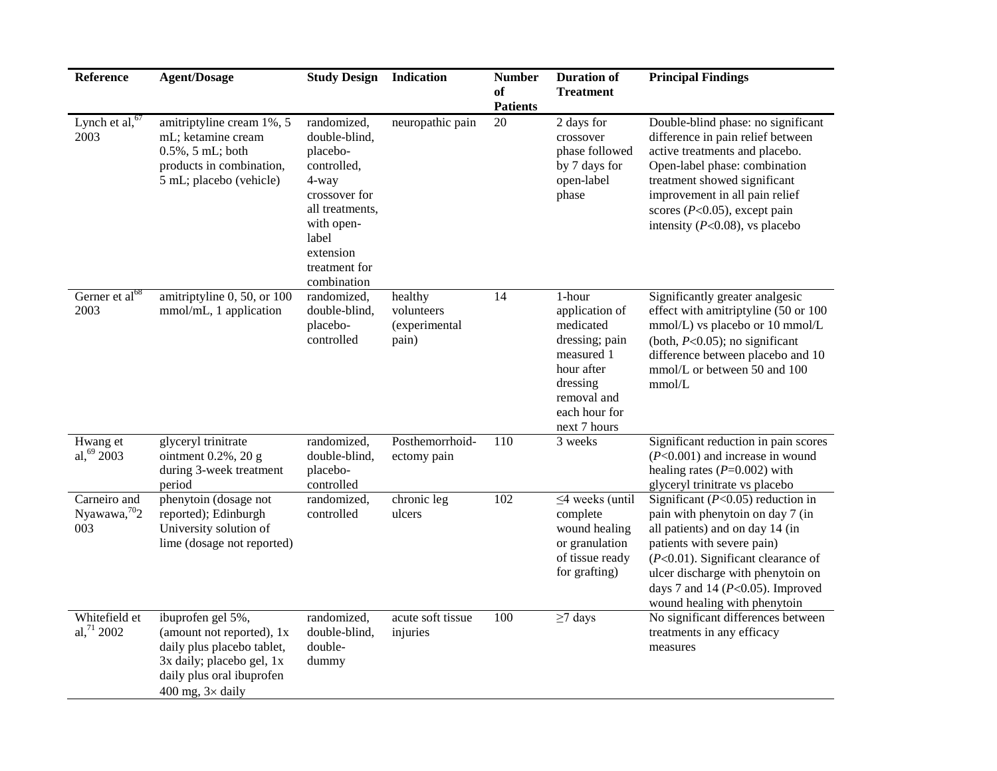| Reference                                       | <b>Agent/Dosage</b>                                                                                                                                                | <b>Study Design Indication</b>                                                                                                                                           |                                                 | <b>Number</b>         | <b>Duration of</b>                                                                                                                              | <b>Principal Findings</b>                                                                                                                                                                                                                                                                        |
|-------------------------------------------------|--------------------------------------------------------------------------------------------------------------------------------------------------------------------|--------------------------------------------------------------------------------------------------------------------------------------------------------------------------|-------------------------------------------------|-----------------------|-------------------------------------------------------------------------------------------------------------------------------------------------|--------------------------------------------------------------------------------------------------------------------------------------------------------------------------------------------------------------------------------------------------------------------------------------------------|
|                                                 |                                                                                                                                                                    |                                                                                                                                                                          |                                                 | of<br><b>Patients</b> | <b>Treatment</b>                                                                                                                                |                                                                                                                                                                                                                                                                                                  |
| Lynch et al, $67$<br>2003                       | amitriptyline cream 1%, 5<br>mL; ketamine cream<br>$0.5\%$ , 5 mL; both<br>products in combination,<br>5 mL; placebo (vehicle)                                     | randomized,<br>double-blind.<br>placebo-<br>controlled,<br>4-way<br>crossover for<br>all treatments,<br>with open-<br>label<br>extension<br>treatment for<br>combination | neuropathic pain                                | 20                    | 2 days for<br>crossover<br>phase followed<br>by 7 days for<br>open-label<br>phase                                                               | Double-blind phase: no significant<br>difference in pain relief between<br>active treatments and placebo.<br>Open-label phase: combination<br>treatment showed significant<br>improvement in all pain relief<br>scores ( $P<0.05$ ), except pain<br>intensity ( $P<0.08$ ), vs placebo           |
| Gerner et al <sup>68</sup><br>2003              | amitriptyline 0, 50, or 100<br>mmol/mL, 1 application                                                                                                              | randomized,<br>double-blind,<br>placebo-<br>controlled                                                                                                                   | healthy<br>volunteers<br>(experimental<br>pain) | 14                    | 1-hour<br>application of<br>medicated<br>dressing; pain<br>measured 1<br>hour after<br>dressing<br>removal and<br>each hour for<br>next 7 hours | Significantly greater analgesic<br>effect with amitriptyline (50 or 100<br>mmol/L) vs placebo or 10 mmol/L<br>(both, $P<0.05$ ); no significant<br>difference between placebo and 10<br>mmol/L or between 50 and 100<br>mmol/L                                                                   |
| Hwang et<br>al, $69$ 2003                       | glyceryl trinitrate<br>ointment 0.2%, 20 g<br>during 3-week treatment<br>period                                                                                    | randomized,<br>double-blind,<br>placebo-<br>controlled                                                                                                                   | Posthemorrhoid-<br>ectomy pain                  | 110                   | 3 weeks                                                                                                                                         | Significant reduction in pain scores<br>$(P<0.001)$ and increase in wound<br>healing rates $(P=0.002)$ with<br>glyceryl trinitrate vs placebo                                                                                                                                                    |
| Carneiro and<br>Nyawawa, <sup>70</sup> 2<br>003 | phenytoin (dosage not<br>reported); Edinburgh<br>University solution of<br>lime (dosage not reported)                                                              | randomized,<br>controlled                                                                                                                                                | chronic leg<br>ulcers                           | 102                   | $\leq$ 4 weeks (until<br>complete<br>wound healing<br>or granulation<br>of tissue ready<br>for grafting)                                        | Significant ( $P<0.05$ ) reduction in<br>pain with phenytoin on day 7 (in<br>all patients) and on day 14 (in<br>patients with severe pain)<br>$(P<0.01)$ . Significant clearance of<br>ulcer discharge with phenytoin on<br>days 7 and 14 ( $P<0.05$ ). Improved<br>wound healing with phenytoin |
| Whitefield et<br>al, $71$ 2002                  | ibuprofen gel 5%,<br>(amount not reported), 1x<br>daily plus placebo tablet,<br>3x daily; placebo gel, 1x<br>daily plus oral ibuprofen<br>400 mg, $3 \times$ daily | randomized,<br>double-blind,<br>double-<br>dummy                                                                                                                         | acute soft tissue<br>injuries                   | 100                   | $\geq$ 7 days                                                                                                                                   | No significant differences between<br>treatments in any efficacy<br>measures                                                                                                                                                                                                                     |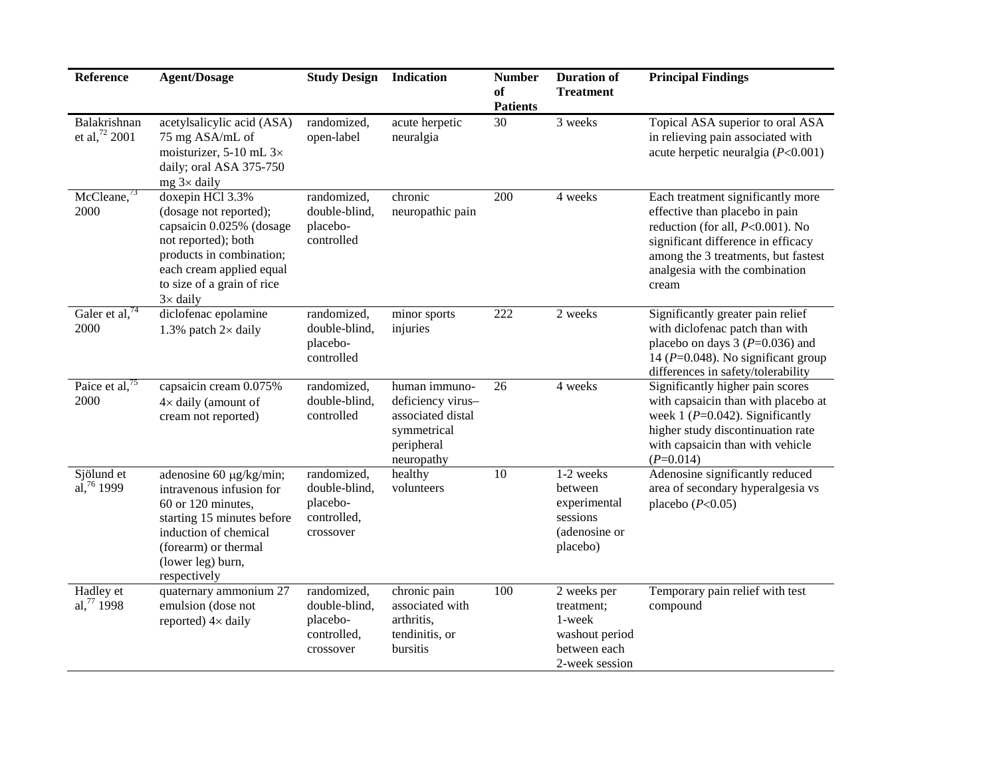| Reference                                 | <b>Agent/Dosage</b>                                                                                                                                                                                     | <b>Study Design</b>                                                  | Indication                                                                                         | <b>Number</b><br>of<br><b>Patients</b> | <b>Duration of</b><br><b>Treatment</b>                                                  | <b>Principal Findings</b>                                                                                                                                                                                                          |
|-------------------------------------------|---------------------------------------------------------------------------------------------------------------------------------------------------------------------------------------------------------|----------------------------------------------------------------------|----------------------------------------------------------------------------------------------------|----------------------------------------|-----------------------------------------------------------------------------------------|------------------------------------------------------------------------------------------------------------------------------------------------------------------------------------------------------------------------------------|
| Balakrishnan<br>et al, <sup>72</sup> 2001 | acetylsalicylic acid (ASA)<br>75 mg ASA/mL of<br>moisturizer, 5-10 mL $3\times$<br>daily; oral ASA 375-750<br>$mg$ 3× daily                                                                             | randomized,<br>open-label                                            | acute herpetic<br>neuralgia                                                                        | 30                                     | 3 weeks                                                                                 | Topical ASA superior to oral ASA<br>in relieving pain associated with<br>acute herpetic neuralgia $(P<0.001)$                                                                                                                      |
| McCleane <sup>73</sup><br>2000            | doxepin HCl 3.3%<br>(dosage not reported);<br>capsaicin 0.025% (dosage<br>not reported); both<br>products in combination;<br>each cream applied equal<br>to size of a grain of rice<br>$3 \times$ daily | randomized,<br>double-blind,<br>placebo-<br>controlled               | chronic<br>neuropathic pain                                                                        | 200                                    | 4 weeks                                                                                 | Each treatment significantly more<br>effective than placebo in pain<br>reduction (for all, $P<0.001$ ). No<br>significant difference in efficacy<br>among the 3 treatments, but fastest<br>analgesia with the combination<br>cream |
| Galer et al, $74$<br>2000                 | diclofenac epolamine<br>1.3% patch $2 \times$ daily                                                                                                                                                     | randomized,<br>double-blind,<br>placebo-<br>controlled               | minor sports<br>injuries                                                                           | 222                                    | 2 weeks                                                                                 | Significantly greater pain relief<br>with diclofenac patch than with<br>placebo on days $3 (P=0.036)$ and<br>14 ( $P=0.048$ ). No significant group<br>differences in safety/tolerability                                          |
| Paice et al, <sup>75</sup><br>2000        | capsaicin cream 0.075%<br>$4\times$ daily (amount of<br>cream not reported)                                                                                                                             | randomized,<br>double-blind,<br>controlled                           | human immuno-<br>deficiency virus-<br>associated distal<br>symmetrical<br>peripheral<br>neuropathy | 26                                     | 4 weeks                                                                                 | Significantly higher pain scores<br>with capsaicin than with placebo at<br>week $1 (P=0.042)$ . Significantly<br>higher study discontinuation rate<br>with capsaicin than with vehicle<br>$(P=0.014)$                              |
| Sjölund et<br>al, $76$ 1999               | adenosine 60 µg/kg/min;<br>intravenous infusion for<br>60 or 120 minutes,<br>starting 15 minutes before<br>induction of chemical<br>(forearm) or thermal<br>(lower leg) burn,<br>respectively           | randomized,<br>double-blind,<br>placebo-<br>controlled,<br>crossover | healthy<br>volunteers                                                                              | 10                                     | 1-2 weeks<br>between<br>experimental<br>sessions<br>(adenosine or<br>placebo)           | Adenosine significantly reduced<br>area of secondary hyperalgesia vs<br>placebo $(P<0.05)$                                                                                                                                         |
| Hadley et<br>al, $^{77}$ 1998             | quaternary ammonium 27<br>emulsion (dose not<br>reported) $4 \times$ daily                                                                                                                              | randomized,<br>double-blind,<br>placebo-<br>controlled,<br>crossover | chronic pain<br>associated with<br>arthritis,<br>tendinitis, or<br>bursitis                        | 100                                    | 2 weeks per<br>treatment;<br>1-week<br>washout period<br>between each<br>2-week session | Temporary pain relief with test<br>compound                                                                                                                                                                                        |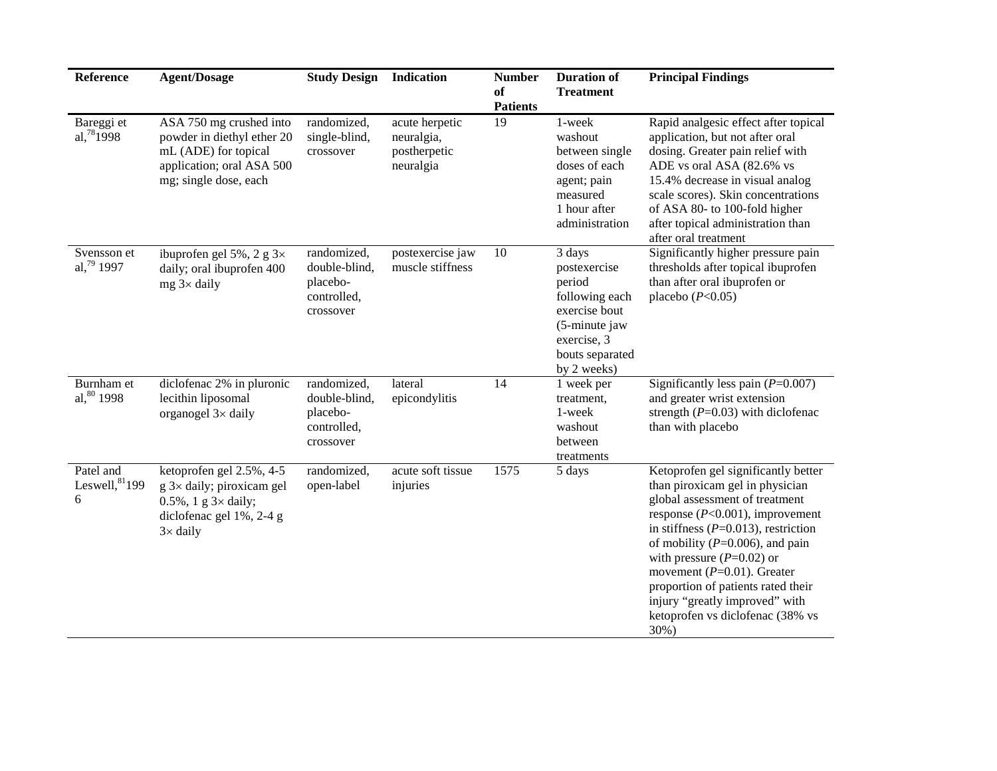| Reference                           | <b>Agent/Dosage</b>                                                                                                                       | <b>Study Design</b>                                                  | Indication                                                | <b>Number</b><br>of<br><b>Patients</b> | <b>Duration of</b><br><b>Treatment</b>                                                                                                | <b>Principal Findings</b>                                                                                                                                                                                                                                                                                                                                                                                             |
|-------------------------------------|-------------------------------------------------------------------------------------------------------------------------------------------|----------------------------------------------------------------------|-----------------------------------------------------------|----------------------------------------|---------------------------------------------------------------------------------------------------------------------------------------|-----------------------------------------------------------------------------------------------------------------------------------------------------------------------------------------------------------------------------------------------------------------------------------------------------------------------------------------------------------------------------------------------------------------------|
| Bareggi et<br>al, $78$ 1998         | ASA 750 mg crushed into<br>powder in diethyl ether 20<br>mL (ADE) for topical<br>application; oral ASA 500<br>mg; single dose, each       | randomized,<br>single-blind,<br>crossover                            | acute herpetic<br>neuralgia,<br>postherpetic<br>neuralgia | 19                                     | 1-week<br>washout<br>between single<br>doses of each<br>agent; pain<br>measured<br>1 hour after<br>administration                     | Rapid analgesic effect after topical<br>application, but not after oral<br>dosing. Greater pain relief with<br>ADE vs oral ASA (82.6% vs<br>15.4% decrease in visual analog<br>scale scores). Skin concentrations<br>of ASA 80- to 100-fold higher<br>after topical administration than<br>after oral treatment                                                                                                       |
| Svensson et<br>al, $79$ 1997        | ibuprofen gel 5%, 2 g $3\times$<br>daily; oral ibuprofen 400<br>$mg$ 3× daily                                                             | randomized,<br>double-blind,<br>placebo-<br>controlled,<br>crossover | postexercise jaw<br>muscle stiffness                      | 10                                     | 3 days<br>postexercise<br>period<br>following each<br>exercise bout<br>(5-minute jaw<br>exercise, 3<br>bouts separated<br>by 2 weeks) | Significantly higher pressure pain<br>thresholds after topical ibuprofen<br>than after oral ibuprofen or<br>placebo $(P<0.05)$                                                                                                                                                                                                                                                                                        |
| Burnham et<br>al, 80 1998           | diclofenac 2% in pluronic<br>lecithin liposomal<br>organogel $3 \times$ daily                                                             | randomized,<br>double-blind,<br>placebo-<br>controlled,<br>crossover | lateral<br>epicondylitis                                  | 14                                     | 1 week per<br>treatment,<br>1-week<br>washout<br>between<br>treatments                                                                | Significantly less pain $(P=0.007)$<br>and greater wrist extension<br>strength $(P=0.03)$ with diclofenac<br>than with placebo                                                                                                                                                                                                                                                                                        |
| Patel and<br>Leswell, $81$ 199<br>6 | ketoprofen gel 2.5%, 4-5<br>$g$ 3× daily; piroxicam gel<br>$0.5\%$ , 1 g $3\times$ daily;<br>diclofenac gel 1%, 2-4 g<br>$3 \times$ daily | randomized,<br>open-label                                            | acute soft tissue<br>injuries                             | 1575                                   | 5 days                                                                                                                                | Ketoprofen gel significantly better<br>than piroxicam gel in physician<br>global assessment of treatment<br>response ( $P<0.001$ ), improvement<br>in stiffness $(P=0.013)$ , restriction<br>of mobility ( $P=0.006$ ), and pain<br>with pressure $(P=0.02)$ or<br>movement ( $P=0.01$ ). Greater<br>proportion of patients rated their<br>injury "greatly improved" with<br>ketoprofen vs diclofenac (38% vs<br>30%) |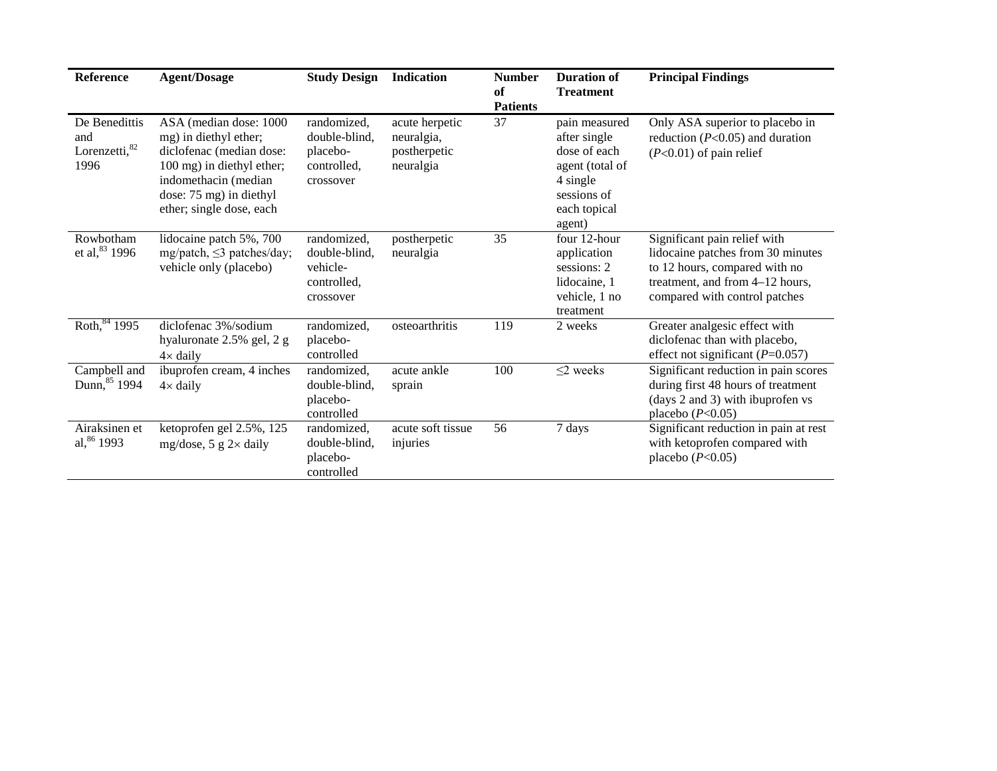| <b>Reference</b>                               | <b>Agent/Dosage</b>                                                                                                                                                                     | <b>Study Design</b>                                                  | <b>Indication</b>                                         | <b>Number</b><br>of<br><b>Patients</b> | <b>Duration of</b><br><b>Treatment</b>                                                                                | <b>Principal Findings</b>                                                                                                                                              |
|------------------------------------------------|-----------------------------------------------------------------------------------------------------------------------------------------------------------------------------------------|----------------------------------------------------------------------|-----------------------------------------------------------|----------------------------------------|-----------------------------------------------------------------------------------------------------------------------|------------------------------------------------------------------------------------------------------------------------------------------------------------------------|
| De Benedittis<br>and<br>Lorenzetti, 82<br>1996 | ASA (median dose: 1000<br>mg) in diethyl ether;<br>diclofenac (median dose:<br>100 mg) in diethyl ether;<br>indomethacin (median<br>dose: 75 mg) in diethyl<br>ether; single dose, each | randomized,<br>double-blind.<br>placebo-<br>controlled,<br>crossover | acute herpetic<br>neuralgia,<br>postherpetic<br>neuralgia | 37                                     | pain measured<br>after single<br>dose of each<br>agent (total of<br>4 single<br>sessions of<br>each topical<br>agent) | Only ASA superior to placebo in<br>reduction ( $P<0.05$ ) and duration<br>$(P<0.01)$ of pain relief                                                                    |
| Rowbotham<br>et al, $83$ 1996                  | lidocaine patch 5%, 700<br>mg/patch, $\leq$ 3 patches/day;<br>vehicle only (placebo)                                                                                                    | randomized,<br>double-blind,<br>vehicle-<br>controlled,<br>crossover | postherpetic<br>neuralgia                                 | 35                                     | four 12-hour<br>application<br>sessions: 2<br>lidocaine, 1<br>vehicle, 1 no<br>treatment                              | Significant pain relief with<br>lidocaine patches from 30 minutes<br>to 12 hours, compared with no<br>treatment, and from 4-12 hours,<br>compared with control patches |
| Roth, 84 1995                                  | diclofenac 3%/sodium<br>hyaluronate 2.5% gel, 2 g<br>$4 \times$ daily                                                                                                                   | randomized,<br>placebo-<br>controlled                                | osteoarthritis                                            | 119                                    | 2 weeks                                                                                                               | Greater analgesic effect with<br>diclofenac than with placebo,<br>effect not significant ( $P=0.057$ )                                                                 |
| Campbell and<br>Dunn, 85 1994                  | ibuprofen cream, 4 inches<br>$4 \times$ daily                                                                                                                                           | randomized,<br>double-blind,<br>placebo-<br>controlled               | acute ankle<br>sprain                                     | 100                                    | $\leq$ 2 weeks                                                                                                        | Significant reduction in pain scores<br>during first 48 hours of treatment<br>(days 2 and 3) with ibuprofen vs<br>placebo $(P<0.05)$                                   |
| Airaksinen et<br>al, 86 1993                   | ketoprofen gel 2.5%, 125<br>mg/dose, 5 g $2 \times$ daily                                                                                                                               | randomized,<br>double-blind,<br>placebo-<br>controlled               | acute soft tissue<br>injuries                             | 56                                     | 7 days                                                                                                                | Significant reduction in pain at rest<br>with ketoprofen compared with<br>placebo $(P<0.05)$                                                                           |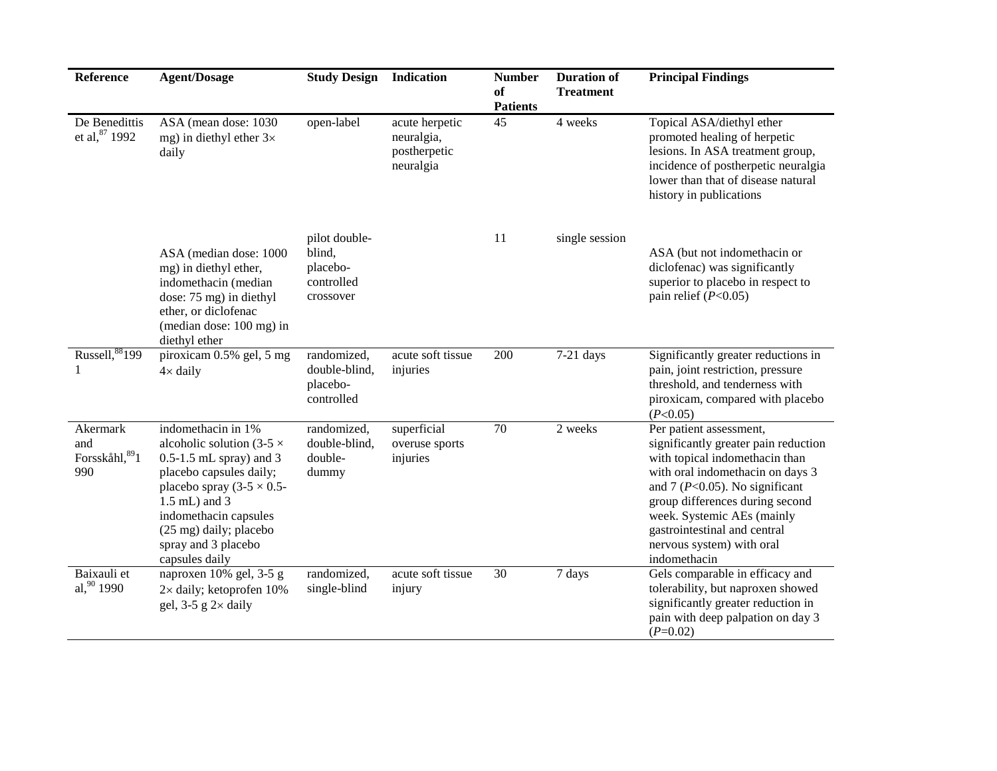| Reference                                | <b>Agent/Dosage</b>                                                                                                                                                                                                                                              | <b>Study Design Indication</b>                                 |                                                           | <b>Number</b><br>of<br><b>Patients</b> | <b>Duration of</b><br><b>Treatment</b> | <b>Principal Findings</b>                                                                                                                                                                                                                                                                                                 |
|------------------------------------------|------------------------------------------------------------------------------------------------------------------------------------------------------------------------------------------------------------------------------------------------------------------|----------------------------------------------------------------|-----------------------------------------------------------|----------------------------------------|----------------------------------------|---------------------------------------------------------------------------------------------------------------------------------------------------------------------------------------------------------------------------------------------------------------------------------------------------------------------------|
| De Benedittis<br>et al, 87 1992          | ASA (mean dose: 1030)<br>mg) in diethyl ether $3\times$<br>daily                                                                                                                                                                                                 | open-label                                                     | acute herpetic<br>neuralgia,<br>postherpetic<br>neuralgia | 45                                     | 4 weeks                                | Topical ASA/diethyl ether<br>promoted healing of herpetic<br>lesions. In ASA treatment group,<br>incidence of postherpetic neuralgia<br>lower than that of disease natural<br>history in publications                                                                                                                     |
|                                          | ASA (median dose: 1000<br>mg) in diethyl ether,<br>indomethacin (median<br>dose: 75 mg) in diethyl<br>ether, or diclofenac<br>(median dose: 100 mg) in<br>diethyl ether                                                                                          | pilot double-<br>blind,<br>placebo-<br>controlled<br>crossover |                                                           | 11                                     | single session                         | ASA (but not indomethacin or<br>diclofenac) was significantly<br>superior to placebo in respect to<br>pain relief $(P<0.05)$                                                                                                                                                                                              |
| Russell, 88199<br>1                      | piroxicam 0.5% gel, 5 mg<br>$4 \times$ daily                                                                                                                                                                                                                     | randomized,<br>double-blind,<br>placebo-<br>controlled         | acute soft tissue<br>injuries                             | 200                                    | $7-21$ days                            | Significantly greater reductions in<br>pain, joint restriction, pressure<br>threshold, and tenderness with<br>piroxicam, compared with placebo<br>(P<0.05)                                                                                                                                                                |
| Akermark<br>and<br>Forsskåhl, 891<br>990 | indomethacin in 1%<br>alcoholic solution (3-5 $\times$<br>$0.5-1.5$ mL spray) and 3<br>placebo capsules daily;<br>placebo spray $(3-5 \times 0.5$ -<br>1.5 mL) and 3<br>indomethacin capsules<br>(25 mg) daily; placebo<br>spray and 3 placebo<br>capsules daily | randomized,<br>double-blind,<br>double-<br>dummy               | superficial<br>overuse sports<br>injuries                 | 70                                     | 2 weeks                                | Per patient assessment,<br>significantly greater pain reduction<br>with topical indomethacin than<br>with oral indomethacin on days 3<br>and 7 ( $P<0.05$ ). No significant<br>group differences during second<br>week. Systemic AEs (mainly<br>gastrointestinal and central<br>nervous system) with oral<br>indomethacin |
| Baixauli et<br>al, 90 1990               | naproxen 10% gel, 3-5 g<br>$2\times$ daily; ketoprofen 10%<br>gel, $3-5$ g $2 \times$ daily                                                                                                                                                                      | randomized,<br>single-blind                                    | acute soft tissue<br>injury                               | 30                                     | 7 days                                 | Gels comparable in efficacy and<br>tolerability, but naproxen showed<br>significantly greater reduction in<br>pain with deep palpation on day 3<br>$(P=0.02)$                                                                                                                                                             |